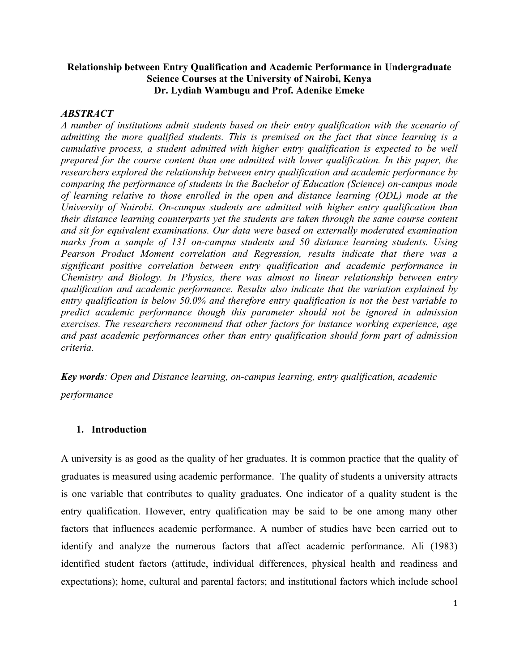# **Relationship between Entry Qualification and Academic Performance in Undergraduate Science Courses at the University of Nairobi, Kenya Dr. Lydiah Wambugu and Prof. Adenike Emeke**

## *ABSTRACT*

*A number of institutions admit students based on their entry qualification with the scenario of admitting the more qualified students. This is premised on the fact that since learning is a cumulative process, a student admitted with higher entry qualification is expected to be well prepared for the course content than one admitted with lower qualification. In this paper, the researchers explored the relationship between entry qualification and academic performance by comparing the performance of students in the Bachelor of Education (Science) on-campus mode of learning relative to those enrolled in the open and distance learning (ODL) mode at the University of Nairobi. On-campus students are admitted with higher entry qualification than their distance learning counterparts yet the students are taken through the same course content and sit for equivalent examinations. Our data were based on externally moderated examination marks from a sample of 131 on-campus students and 50 distance learning students. Using Pearson Product Moment correlation and Regression, results indicate that there was a significant positive correlation between entry qualification and academic performance in Chemistry and Biology. In Physics, there was almost no linear relationship between entry qualification and academic performance. Results also indicate that the variation explained by entry qualification is below 50.0% and therefore entry qualification is not the best variable to predict academic performance though this parameter should not be ignored in admission exercises. The researchers recommend that other factors for instance working experience, age and past academic performances other than entry qualification should form part of admission criteria.*

*Key words: Open and Distance learning, on-campus learning, entry qualification, academic performance*

### **1. Introduction**

A university is as good as the quality of her graduates. It is common practice that the quality of graduates is measured using academic performance. The quality of students a university attracts is one variable that contributes to quality graduates. One indicator of a quality student is the entry qualification. However, entry qualification may be said to be one among many other factors that influences academic performance. A number of studies have been carried out to identify and analyze the numerous factors that affect academic performance. Ali (1983) identified student factors (attitude, individual differences, physical health and readiness and expectations); home, cultural and parental factors; and institutional factors which include school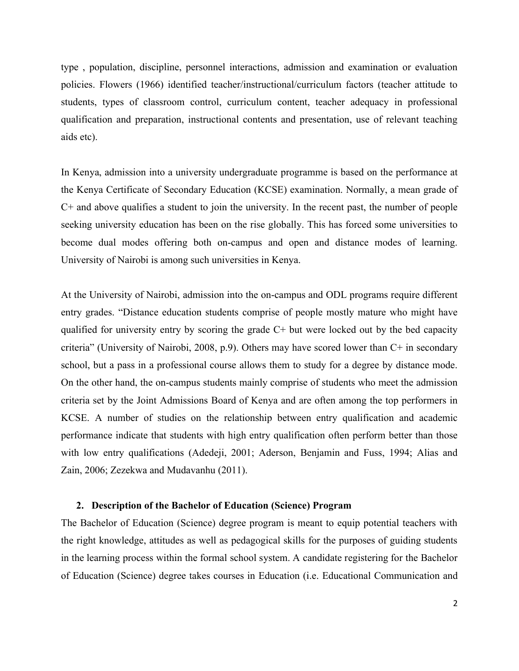type , population, discipline, personnel interactions, admission and examination or evaluation policies. Flowers (1966) identified teacher/instructional/curriculum factors (teacher attitude to students, types of classroom control, curriculum content, teacher adequacy in professional qualification and preparation, instructional contents and presentation, use of relevant teaching aids etc).

In Kenya, admission into a university undergraduate programme is based on the performance at the Kenya Certificate of Secondary Education (KCSE) examination. Normally, a mean grade of C+ and above qualifies a student to join the university. In the recent past, the number of people seeking university education has been on the rise globally. This has forced some universities to become dual modes offering both on-campus and open and distance modes of learning. University of Nairobi is among such universities in Kenya.

At the University of Nairobi, admission into the on-campus and ODL programs require different entry grades. "Distance education students comprise of people mostly mature who might have qualified for university entry by scoring the grade C+ but were locked out by the bed capacity criteria" (University of Nairobi, 2008, p.9). Others may have scored lower than C+ in secondary school, but a pass in a professional course allows them to study for a degree by distance mode. On the other hand, the on-campus students mainly comprise of students who meet the admission criteria set by the Joint Admissions Board of Kenya and are often among the top performers in KCSE. A number of studies on the relationship between entry qualification and academic performance indicate that students with high entry qualification often perform better than those with low entry qualifications (Adedeji, 2001; Aderson, Benjamin and Fuss, 1994; Alias and Zain, 2006; Zezekwa and Mudavanhu (2011).

### **2. Description of the Bachelor of Education (Science) Program**

The Bachelor of Education (Science) degree program is meant to equip potential teachers with the right knowledge, attitudes as well as pedagogical skills for the purposes of guiding students in the learning process within the formal school system. A candidate registering for the Bachelor of Education (Science) degree takes courses in Education (i.e. Educational Communication and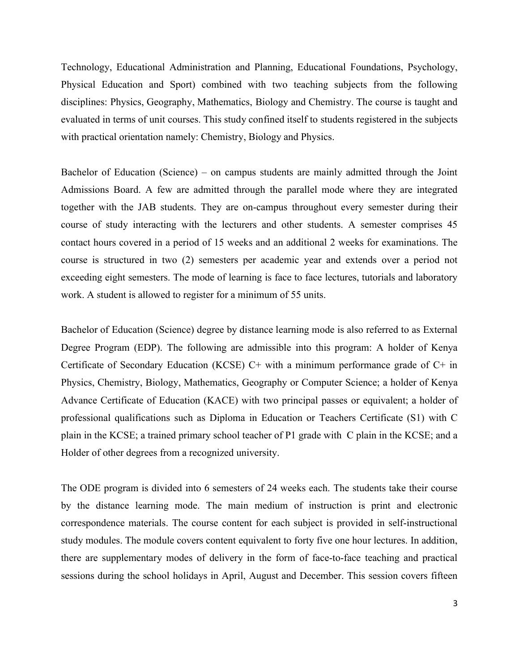Technology, Educational Administration and Planning, Educational Foundations, Psychology, Physical Education and Sport) combined with two teaching subjects from the following disciplines: Physics, Geography, Mathematics, Biology and Chemistry. The course is taught and evaluated in terms of unit courses. This study confined itself to students registered in the subjects with practical orientation namely: Chemistry, Biology and Physics.

Bachelor of Education (Science) – on campus students are mainly admitted through the Joint Admissions Board. A few are admitted through the parallel mode where they are integrated together with the JAB students. They are on-campus throughout every semester during their course of study interacting with the lecturers and other students. A semester comprises 45 contact hours covered in a period of 15 weeks and an additional 2 weeks for examinations. The course is structured in two (2) semesters per academic year and extends over a period not exceeding eight semesters. The mode of learning is face to face lectures, tutorials and laboratory work. A student is allowed to register for a minimum of 55 units.

Bachelor of Education (Science) degree by distance learning mode is also referred to as External Degree Program (EDP). The following are admissible into this program: A holder of Kenya Certificate of Secondary Education (KCSE)  $C+$  with a minimum performance grade of  $C+$  in Physics, Chemistry, Biology, Mathematics, Geography or Computer Science; a holder of Kenya Advance Certificate of Education (KACE) with two principal passes or equivalent; a holder of professional qualifications such as Diploma in Education or Teachers Certificate (S1) with C plain in the KCSE; a trained primary school teacher of P1 grade with C plain in the KCSE; and a Holder of other degrees from a recognized university.

The ODE program is divided into 6 semesters of 24 weeks each. The students take their course by the distance learning mode. The main medium of instruction is print and electronic correspondence materials. The course content for each subject is provided in self-instructional study modules. The module covers content equivalent to forty five one hour lectures. In addition, there are supplementary modes of delivery in the form of face-to-face teaching and practical sessions during the school holidays in April, August and December. This session covers fifteen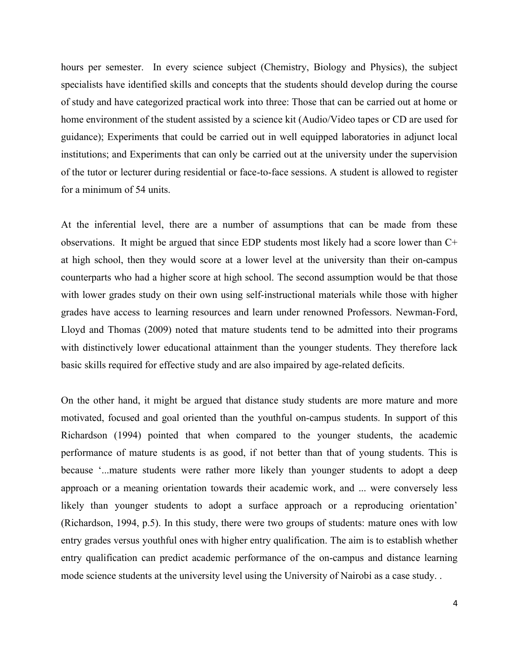hours per semester. In every science subject (Chemistry, Biology and Physics), the subject specialists have identified skills and concepts that the students should develop during the course of study and have categorized practical work into three: Those that can be carried out at home or home environment of the student assisted by a science kit (Audio/Video tapes or CD are used for guidance); Experiments that could be carried out in well equipped laboratories in adjunct local institutions; and Experiments that can only be carried out at the university under the supervision of the tutor or lecturer during residential or face-to-face sessions. A student is allowed to register for a minimum of 54 units.

At the inferential level, there are a number of assumptions that can be made from these observations. It might be argued that since EDP students most likely had a score lower than C+ at high school, then they would score at a lower level at the university than their on-campus counterparts who had a higher score at high school. The second assumption would be that those with lower grades study on their own using self-instructional materials while those with higher grades have access to learning resources and learn under renowned Professors. Newman-Ford, Lloyd and Thomas (2009) noted that mature students tend to be admitted into their programs with distinctively lower educational attainment than the younger students. They therefore lack basic skills required for effective study and are also impaired by age-related deficits.

On the other hand, it might be argued that distance study students are more mature and more motivated, focused and goal oriented than the youthful on-campus students. In support of this Richardson (1994) pointed that when compared to the younger students, the academic performance of mature students is as good, if not better than that of young students. This is because '...mature students were rather more likely than younger students to adopt a deep approach or a meaning orientation towards their academic work, and ... were conversely less likely than younger students to adopt a surface approach or a reproducing orientation' (Richardson, 1994, p.5). In this study, there were two groups of students: mature ones with low entry grades versus youthful ones with higher entry qualification. The aim is to establish whether entry qualification can predict academic performance of the on-campus and distance learning mode science students at the university level using the University of Nairobi as a case study. .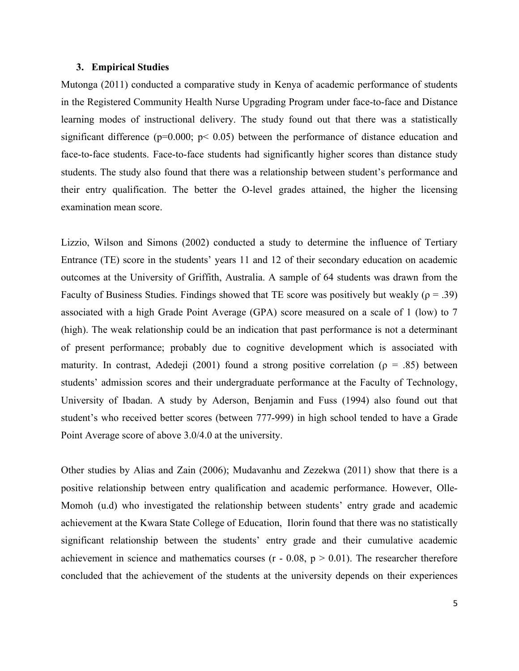#### **3. Empirical Studies**

Mutonga (2011) conducted a comparative study in Kenya of academic performance of students in the Registered Community Health Nurse Upgrading Program under face-to-face and Distance learning modes of instructional delivery. The study found out that there was a statistically significant difference ( $p=0.000$ ;  $p< 0.05$ ) between the performance of distance education and face-to-face students. Face-to-face students had significantly higher scores than distance study students. The study also found that there was a relationship between student's performance and their entry qualification. The better the O-level grades attained, the higher the licensing examination mean score.

Lizzio, Wilson and Simons (2002) conducted a study to determine the influence of Tertiary Entrance (TE) score in the students' years 11 and 12 of their secondary education on academic outcomes at the University of Griffith, Australia. A sample of 64 students was drawn from the Faculty of Business Studies. Findings showed that TE score was positively but weakly ( $\rho = .39$ ) associated with a high Grade Point Average (GPA) score measured on a scale of 1 (low) to 7 (high). The weak relationship could be an indication that past performance is not a determinant of present performance; probably due to cognitive development which is associated with maturity. In contrast, Adedeji (2001) found a strong positive correlation ( $\rho = .85$ ) between students' admission scores and their undergraduate performance at the Faculty of Technology, University of Ibadan. A study by Aderson, Benjamin and Fuss (1994) also found out that student's who received better scores (between 777-999) in high school tended to have a Grade Point Average score of above 3.0/4.0 at the university.

Other studies by Alias and Zain (2006); Mudavanhu and Zezekwa (2011) show that there is a positive relationship between entry qualification and academic performance. However, Olle-Momoh (u.d) who investigated the relationship between students' entry grade and academic achievement at the Kwara State College of Education, Ilorin found that there was no statistically significant relationship between the students' entry grade and their cumulative academic achievement in science and mathematics courses  $(r - 0.08, p \ge 0.01)$ . The researcher therefore concluded that the achievement of the students at the university depends on their experiences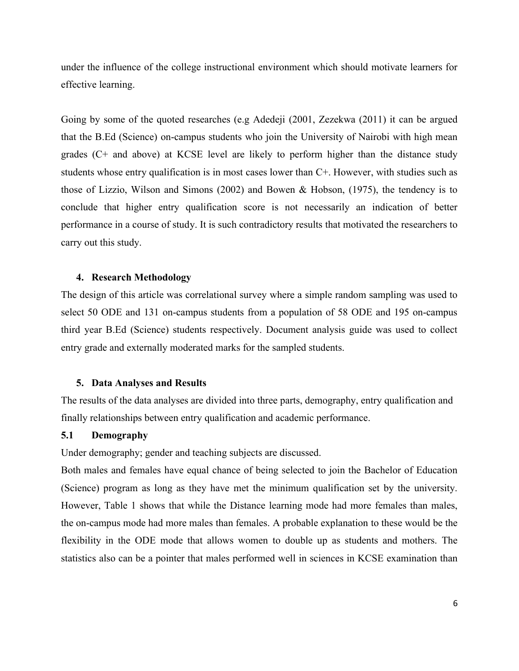under the influence of the college instructional environment which should motivate learners for effective learning.

Going by some of the quoted researches (e.g Adedeji (2001, Zezekwa (2011) it can be argued that the B.Ed (Science) on-campus students who join the University of Nairobi with high mean grades (C+ and above) at KCSE level are likely to perform higher than the distance study students whose entry qualification is in most cases lower than C+. However, with studies such as those of Lizzio, Wilson and Simons (2002) and Bowen & Hobson, (1975), the tendency is to conclude that higher entry qualification score is not necessarily an indication of better performance in a course of study. It is such contradictory results that motivated the researchers to carry out this study.

### **4. Research Methodology**

The design of this article was correlational survey where a simple random sampling was used to select 50 ODE and 131 on-campus students from a population of 58 ODE and 195 on-campus third year B.Ed (Science) students respectively. Document analysis guide was used to collect entry grade and externally moderated marks for the sampled students.

#### **5. Data Analyses and Results**

The results of the data analyses are divided into three parts, demography, entry qualification and finally relationships between entry qualification and academic performance.

# **5.1 Demography**

Under demography; gender and teaching subjects are discussed.

Both males and females have equal chance of being selected to join the Bachelor of Education (Science) program as long as they have met the minimum qualification set by the university. However, Table 1 shows that while the Distance learning mode had more females than males, the on-campus mode had more males than females. A probable explanation to these would be the flexibility in the ODE mode that allows women to double up as students and mothers. The statistics also can be a pointer that males performed well in sciences in KCSE examination than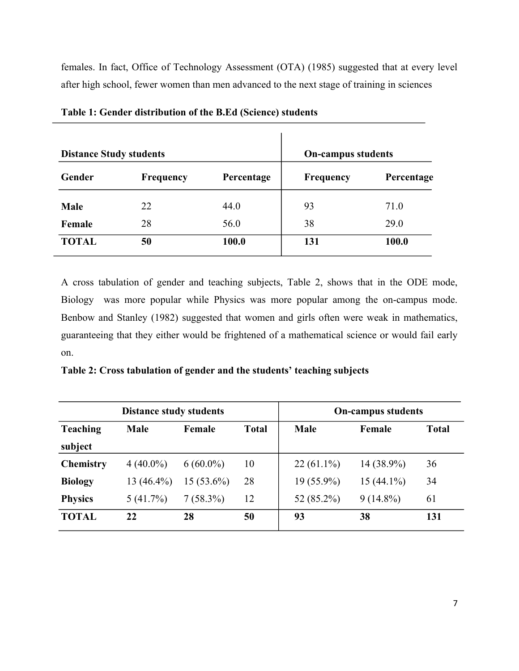females. In fact, Office of Technology Assessment (OTA) (1985) suggested that at every level after high school, fewer women than men advanced to the next stage of training in sciences

| <b>Distance Study students</b> |                  | <b>On-campus students</b> |                  |            |  |
|--------------------------------|------------------|---------------------------|------------------|------------|--|
| Gender                         | <b>Frequency</b> | Percentage                | <b>Frequency</b> | Percentage |  |
| <b>Male</b>                    | 22               | 44.0                      | 93               | 71.0       |  |
| Female                         | 28               | 56.0                      | 38               | 29.0       |  |
| <b>TOTAL</b>                   | 50               | 100.0                     | 131              | 100.0      |  |

**Table 1: Gender distribution of the B.Ed (Science) students**

A cross tabulation of gender and teaching subjects, Table 2, shows that in the ODE mode, Biology was more popular while Physics was more popular among the on-campus mode. Benbow and Stanley (1982) suggested that women and girls often were weak in mathematics, guaranteeing that they either would be frightened of a mathematical science or would fail early on.

**Table 2: Cross tabulation of gender and the students' teaching subjects**

|                                                          | <b>Distance study students</b> |              | <b>On-campus students</b> |              |              |     |
|----------------------------------------------------------|--------------------------------|--------------|---------------------------|--------------|--------------|-----|
| <b>Teaching</b><br><b>Male</b><br><b>Total</b><br>Female |                                |              | <b>Male</b>               | Female       | <b>Total</b> |     |
| subject                                                  |                                |              |                           |              |              |     |
| <b>Chemistry</b>                                         | $4(40.0\%)$                    | $6(60.0\%)$  | 10                        | $22(61.1\%)$ | 14 (38.9%)   | 36  |
| <b>Biology</b>                                           | $13(46.4\%)$                   | $15(53.6\%)$ | 28                        | 19 (55.9%)   | $15(44.1\%)$ | 34  |
| <b>Physics</b>                                           | 5(41.7%)                       | $7(58.3\%)$  | 12                        | 52 (85.2%)   | $9(14.8\%)$  | 61  |
| <b>TOTAL</b>                                             | 22                             | 28           | 50                        | 93           | 38           | 131 |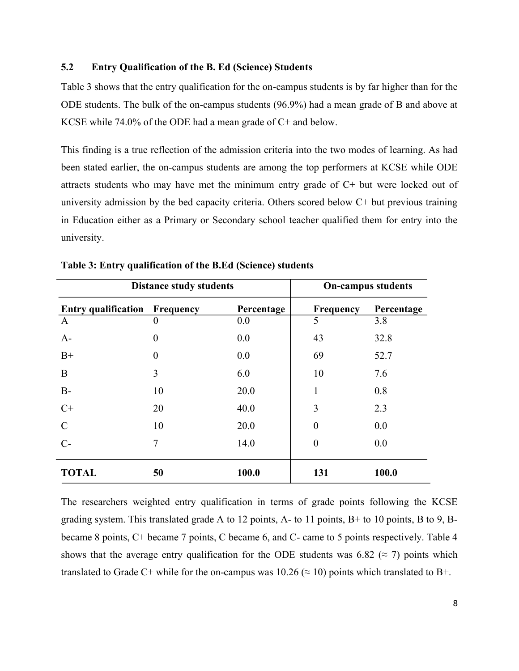### **5.2 Entry Qualification of the B. Ed (Science) Students**

Table 3 shows that the entry qualification for the on-campus students is by far higher than for the ODE students. The bulk of the on-campus students (96.9%) had a mean grade of B and above at KCSE while 74.0% of the ODE had a mean grade of C+ and below.

This finding is a true reflection of the admission criteria into the two modes of learning. As had been stated earlier, the on-campus students are among the top performers at KCSE while ODE attracts students who may have met the minimum entry grade of C+ but were locked out of university admission by the bed capacity criteria. Others scored below C+ but previous training in Education either as a Primary or Secondary school teacher qualified them for entry into the university.

|                                      | <b>Distance study students</b> |            | <b>On-campus students</b> |            |  |  |
|--------------------------------------|--------------------------------|------------|---------------------------|------------|--|--|
| <b>Entry qualification Frequency</b> |                                | Percentage | <b>Frequency</b>          | Percentage |  |  |
| $\mathbf{A}$                         | $\theta$                       | 0.0        | 5                         | 3.8        |  |  |
| $A-$                                 | $\theta$                       | 0.0        | 43                        | 32.8       |  |  |
| $B+$                                 | $\theta$                       | 0.0        | 69                        | 52.7       |  |  |
| $\mathbf{B}$                         | 3                              | 6.0        | 10                        | 7.6        |  |  |
| $B-$                                 | 10                             | 20.0       | 1                         | 0.8        |  |  |
| $C+$                                 | 20                             | 40.0       | 3                         | 2.3        |  |  |
| $\mathcal{C}$                        | 10                             | 20.0       | $\theta$                  | 0.0        |  |  |
| $C-$                                 | 7                              | 14.0       | $\overline{0}$            | 0.0        |  |  |
| <b>TOTAL</b>                         | 50                             | 100.0      | 131                       | 100.0      |  |  |

**Table 3: Entry qualification of the B.Ed (Science) students**

The researchers weighted entry qualification in terms of grade points following the KCSE grading system. This translated grade A to 12 points, A- to 11 points, B+ to 10 points, B to 9, Bbecame 8 points, C+ became 7 points, C became 6, and C- came to 5 points respectively. Table 4 shows that the average entry qualification for the ODE students was 6.82 ( $\approx$  7) points which translated to Grade C+ while for the on-campus was  $10.26 \approx 10$ ) points which translated to B+.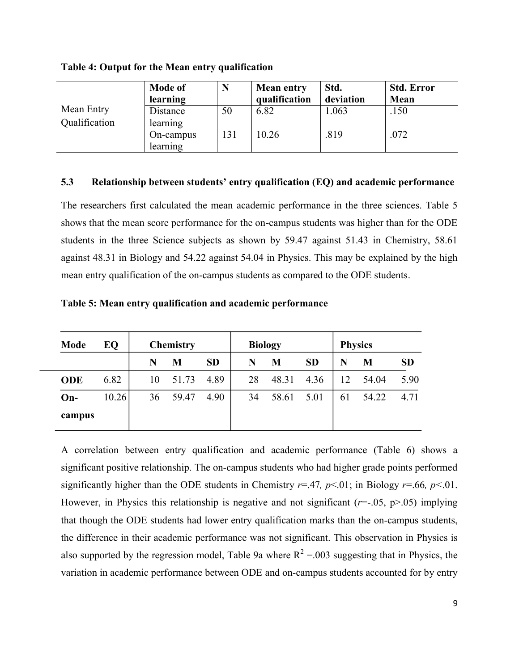**Table 4: Output for the Mean entry qualification**

|               | <b>Mode of</b><br>learning | N   | <b>Mean entry</b><br>qualification | Std.<br>deviation | <b>Std. Error</b><br>Mean |
|---------------|----------------------------|-----|------------------------------------|-------------------|---------------------------|
| Mean Entry    | Distance                   | 50  | 6.82                               | 1.063             | .150                      |
| Qualification | learning<br>On-campus      | 131 | 10.26                              | .819              | .072                      |
|               | learning                   |     |                                    |                   |                           |

### **5.3 Relationship between students' entry qualification (EQ) and academic performance**

The researchers first calculated the mean academic performance in the three sciences. Table 5 shows that the mean score performance for the on-campus students was higher than for the ODE students in the three Science subjects as shown by 59.47 against 51.43 in Chemistry, 58.61 against 48.31 in Biology and 54.22 against 54.04 in Physics. This may be explained by the high mean entry qualification of the on-campus students as compared to the ODE students.

| <b>Mode</b> | EQ    |    | <b>Chemistry</b> |           |    | <b>Biology</b> |           |    | <b>Physics</b> |           |
|-------------|-------|----|------------------|-----------|----|----------------|-----------|----|----------------|-----------|
|             |       | N  | M                | <b>SD</b> | N  | M              | <b>SD</b> | N  | M              | <b>SD</b> |
| <b>ODE</b>  | 6.82  | 10 | 51.73            | 4.89      | 28 | 48.31          | 4.36      | 12 | 54.04          | 5.90      |
| $On-$       | 10.26 | 36 | 59.47            | 4.90      | 34 | 58.61          | 5.01      | 61 | 54.22          | 4.71      |
| campus      |       |    |                  |           |    |                |           |    |                |           |

A correlation between entry qualification and academic performance (Table 6) shows a significant positive relationship. The on-campus students who had higher grade points performed significantly higher than the ODE students in Chemistry *r*=.47*, p*<.01; in Biology *r*=.66*, p<*.01. However, in Physics this relationship is negative and not significant  $(r=.05, p>.05)$  implying that though the ODE students had lower entry qualification marks than the on-campus students, the difference in their academic performance was not significant. This observation in Physics is also supported by the regression model, Table 9a where  $R^2 = 0.003$  suggesting that in Physics, the variation in academic performance between ODE and on-campus students accounted for by entry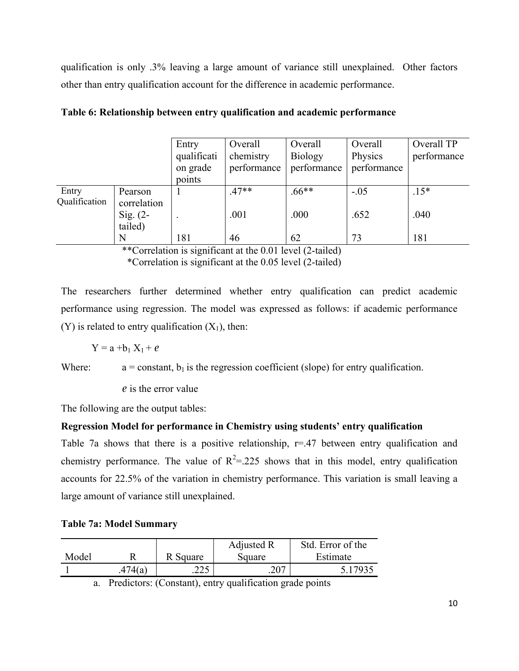qualification is only .3% leaving a large amount of variance still unexplained. Other factors other than entry qualification account for the difference in academic performance.

|               |             | Entry       | Overall     | Overall        | Overall     | Overall TP  |
|---------------|-------------|-------------|-------------|----------------|-------------|-------------|
|               |             | qualificati | chemistry   | <b>Biology</b> | Physics     | performance |
|               |             | on grade    | performance | performance    | performance |             |
|               |             | points      |             |                |             |             |
| Entry         | Pearson     |             | $.47**$     | $.66**$        | $-.05$      | $.15*$      |
| Qualification | correlation |             |             |                |             |             |
|               | Sig. $(2-$  |             | .001        | .000           | .652        | .040        |
|               | tailed)     |             |             |                |             |             |
|               | N           | 181         | 46          | 62             | 73          | 181         |

|  |  | Table 6: Relationship between entry qualification and academic performance |  |  |
|--|--|----------------------------------------------------------------------------|--|--|
|  |  |                                                                            |  |  |

\*\*Correlation is significant at the 0.01 level (2-tailed)

\*Correlation is significant at the 0.05 level (2-tailed)

The researchers further determined whether entry qualification can predict academic performance using regression. The model was expressed as follows: if academic performance (Y) is related to entry qualification  $(X_1)$ , then:

$$
Y = a + b_1 X_1 + e
$$

Where:  $a = constant$ ,  $b_1$  is the regression coefficient (slope) for entry qualification.

e is the error value

The following are the output tables:

# **Regression Model for performance in Chemistry using students' entry qualification**

Table 7a shows that there is a positive relationship,  $r=47$  between entry qualification and chemistry performance. The value of  $R^2 = 225$  shows that in this model, entry qualification accounts for 22.5% of the variation in chemistry performance. This variation is small leaving a large amount of variance still unexplained.

|  |  |  | <b>Table 7a: Model Summary</b> |
|--|--|--|--------------------------------|
|--|--|--|--------------------------------|

|       |         |            | Adjusted R | Std. Error of the |
|-------|---------|------------|------------|-------------------|
| Model |         | R Square   | Square     | Estimate          |
|       | .474(a) | つつぐ<br>دعه | 207        | 5 17935           |

a. Predictors: (Constant), entry qualification grade points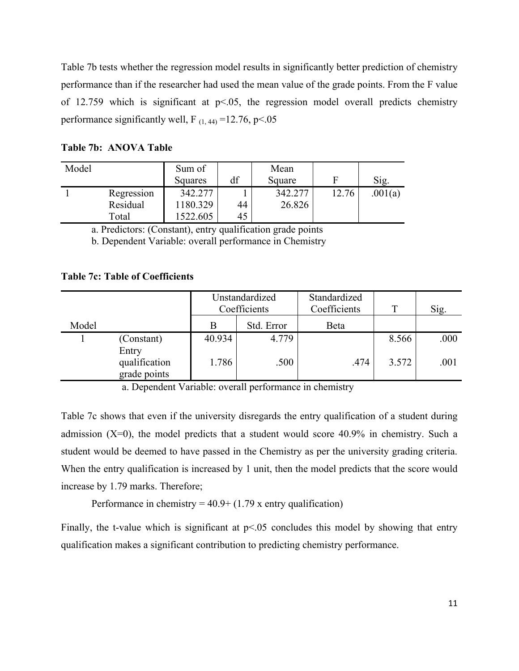Table 7b tests whether the regression model results in significantly better prediction of chemistry performance than if the researcher had used the mean value of the grade points. From the F value of 12.759 which is significant at  $p<0.05$ , the regression model overall predicts chemistry performance significantly well, F<sub>(1, 44)</sub> =12.76, p<.05

| Model |            | Sum of<br>Squares | df | Mean<br>Square |       | Sig.    |
|-------|------------|-------------------|----|----------------|-------|---------|
|       | Regression | 342.277           |    | 342,277        | 12.76 | .001(a) |
|       | Residual   | 1180.329          | 44 | 26.826         |       |         |
|       | Total      | 1522.605          | 45 |                |       |         |

**Table 7b: ANOVA Table**

a. Predictors: (Constant), entry qualification grade points

b. Dependent Variable: overall performance in Chemistry

## **Table 7c: Table of Coefficients**

|       |                                        | Unstandardized<br>Coefficients |            | Standardized<br>Coefficients | Т     | Sig. |
|-------|----------------------------------------|--------------------------------|------------|------------------------------|-------|------|
| Model |                                        | B                              | Std. Error | Beta                         |       |      |
|       | (Constant)                             | 40.934                         | 4.779      |                              | 8.566 | .000 |
|       | Entry<br>qualification<br>grade points | 1.786                          | .500       | .474                         | 3.572 | .001 |

a. Dependent Variable: overall performance in chemistry

Table 7c shows that even if the university disregards the entry qualification of a student during admission  $(X=0)$ , the model predicts that a student would score 40.9% in chemistry. Such a student would be deemed to have passed in the Chemistry as per the university grading criteria. When the entry qualification is increased by 1 unit, then the model predicts that the score would increase by 1.79 marks. Therefore;

Performance in chemistry =  $40.9 + (1.79 \text{ x entry qualification})$ 

Finally, the t-value which is significant at  $p<0.05$  concludes this model by showing that entry qualification makes a significant contribution to predicting chemistry performance.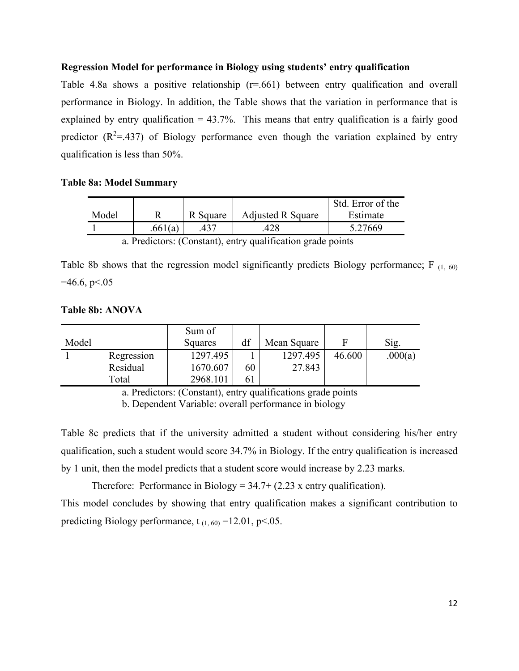### **Regression Model for performance in Biology using students' entry qualification**

Table 4.8a shows a positive relationship  $(r=0.661)$  between entry qualification and overall performance in Biology. In addition, the Table shows that the variation in performance that is explained by entry qualification  $= 43.7\%$ . This means that entry qualification is a fairly good predictor  $(R^2 = .437)$  of Biology performance even though the variation explained by entry qualification is less than 50%.

### **Table 8a: Model Summary**

|       |         |          |                          | Std. Error of the |
|-------|---------|----------|--------------------------|-------------------|
| Model |         | R Square | <b>Adjusted R Square</b> | Estimate          |
|       | .661(a) |          | .428                     | 5.27669           |
|       |         | $\sim$   |                          |                   |

a. Predictors: (Constant), entry qualification grade points

Table 8b shows that the regression model significantly predicts Biology performance; F  $_{(1, 60)}$  $=46.6$ , p $\le 0.05$ 

### **Table 8b: ANOVA**

| Model |                        | Sum of<br>Squares    | df | Mean Square        | F      | Sig.    |
|-------|------------------------|----------------------|----|--------------------|--------|---------|
|       | Regression<br>Residual | 1297.495<br>1670.607 | 60 | 1297.495<br>27.843 | 46.600 | .000(a) |
|       | Total                  | 2968.101             | 61 |                    |        |         |

a. Predictors: (Constant), entry qualifications grade points

b. Dependent Variable: overall performance in biology

Table 8c predicts that if the university admitted a student without considering his/her entry qualification, such a student would score 34.7% in Biology. If the entry qualification is increased by 1 unit, then the model predicts that a student score would increase by 2.23 marks.

Therefore: Performance in Biology =  $34.7 + (2.23 \text{ x entry qualification})$ . This model concludes by showing that entry qualification makes a significant contribution to predicting Biology performance, t<sub>(1, 60)</sub> =12.01, p < 0.05.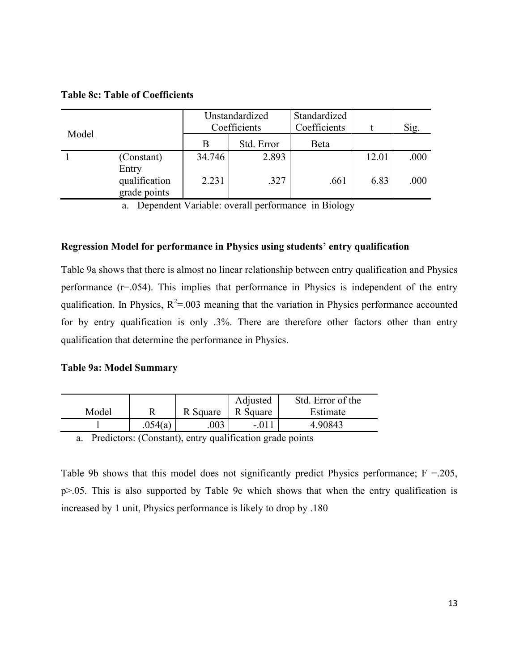# **Table 8c: Table of Coefficients**

|       |                                        | Unstandardized<br>Coefficients |            | Standardized<br>Coefficients |       | Sig. |
|-------|----------------------------------------|--------------------------------|------------|------------------------------|-------|------|
| Model |                                        | В                              | Std. Error | Beta                         |       |      |
|       | (Constant)                             | 34.746                         | 2.893      |                              | 12.01 | .000 |
|       | Entry<br>qualification<br>grade points | 2.231                          | .327       | .661                         | 6.83  | .000 |

a. Dependent Variable: overall performance in Biology

### **Regression Model for performance in Physics using students' entry qualification**

Table 9a shows that there is almost no linear relationship between entry qualification and Physics performance (r=.054). This implies that performance in Physics is independent of the entry qualification. In Physics,  $R^2 = 0.03$  meaning that the variation in Physics performance accounted for by entry qualification is only .3%. There are therefore other factors other than entry qualification that determine the performance in Physics.

## **Table 9a: Model Summary**

|       |         |          | Adjusted | Std. Error of the |
|-------|---------|----------|----------|-------------------|
| Model |         | R Square | R Square | Estimate          |
|       | .054(a) | 003      | $-01$    | 4.90843           |

a. Predictors: (Constant), entry qualification grade points

Table 9b shows that this model does not significantly predict Physics performance;  $F = 205$ , p>.05. This is also supported by Table 9c which shows that when the entry qualification is increased by 1 unit, Physics performance is likely to drop by .180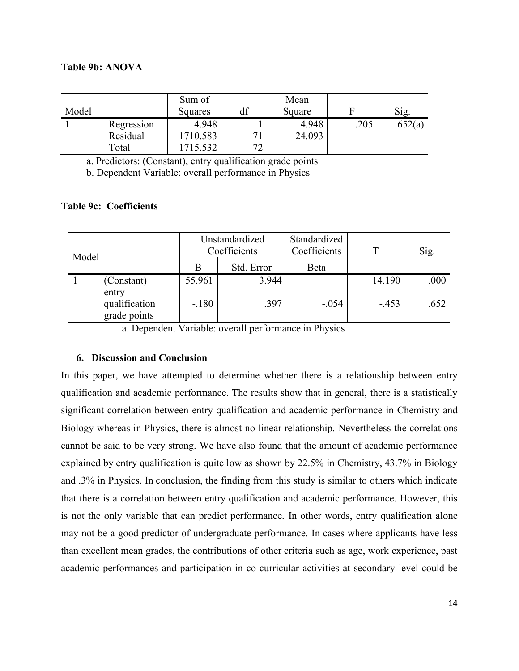### **Table 9b: ANOVA**

| Model |            | Sum of<br>Squares | df | Mean<br>Square |      | Sig.    |
|-------|------------|-------------------|----|----------------|------|---------|
|       | Regression | 4.948             |    | 4.948          | .205 | .652(a) |
|       | Residual   | 710.583           |    | 24.093         |      |         |
|       | Total      | 5.532             | ヮっ |                |      |         |

a. Predictors: (Constant), entry qualification grade points

b. Dependent Variable: overall performance in Physics

## **Table 9c: Coefficients**

| Model |                                        | Unstandardized<br>Coefficients |            | Standardized<br>Coefficients | т      | Sig. |
|-------|----------------------------------------|--------------------------------|------------|------------------------------|--------|------|
|       |                                        | B                              | Std. Error | <b>B</b> eta                 |        |      |
|       | (Constant)                             | 55.961                         | 3.944      |                              | 14.190 | .000 |
|       | entry<br>qualification<br>grade points | $-.180$                        | .397       | $-.054$                      | $-453$ | .652 |

a. Dependent Variable: overall performance in Physics

### **6. Discussion and Conclusion**

In this paper, we have attempted to determine whether there is a relationship between entry qualification and academic performance. The results show that in general, there is a statistically significant correlation between entry qualification and academic performance in Chemistry and Biology whereas in Physics, there is almost no linear relationship. Nevertheless the correlations cannot be said to be very strong. We have also found that the amount of academic performance explained by entry qualification is quite low as shown by 22.5% in Chemistry, 43.7% in Biology and .3% in Physics. In conclusion, the finding from this study is similar to others which indicate that there is a correlation between entry qualification and academic performance. However, this is not the only variable that can predict performance. In other words, entry qualification alone may not be a good predictor of undergraduate performance. In cases where applicants have less than excellent mean grades, the contributions of other criteria such as age, work experience, past academic performances and participation in co-curricular activities at secondary level could be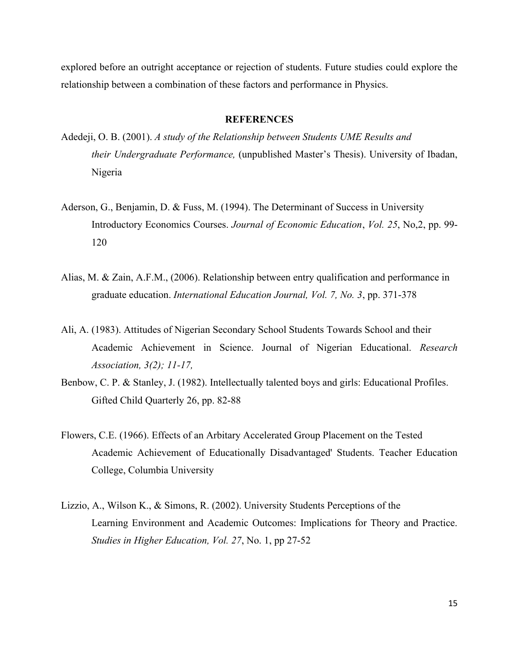explored before an outright acceptance or rejection of students. Future studies could explore the relationship between a combination of these factors and performance in Physics.

#### **REFERENCES**

- Adedeji, O. B. (2001). *A study of the Relationship between Students UME Results and their Undergraduate Performance,* (unpublished Master's Thesis). University of Ibadan, Nigeria
- Aderson, G., Benjamin, D. & Fuss, M. (1994). The Determinant of Success in University Introductory Economics Courses. *Journal of Economic Education*, *Vol. 25*, No,2, pp. 99- 120
- Alias, M. & Zain, A.F.M., (2006). Relationship between entry qualification and performance in graduate education. *International Education Journal, Vol. 7, No. 3*, pp. 371-378
- Ali, A. (1983). Attitudes of Nigerian Secondary School Students Towards School and their Academic Achievement in Science. Journal of Nigerian Educational. *Research Association, 3(2); 11-17,*
- Benbow, C. P. & Stanley, J. (1982). Intellectually talented boys and girls: Educational Profiles. Gifted Child Quarterly 26, pp. 82-88
- Flowers, C.E. (1966). Effects of an Arbitary Accelerated Group Placement on the Tested Academic Achievement of Educationally Disadvantaged' Students. Teacher Education College, Columbia University
- Lizzio, A., Wilson K., & Simons, R. (2002). University Students Perceptions of the Learning Environment and Academic Outcomes: Implications for Theory and Practice. *Studies in Higher Education, Vol. 27*, No. 1, pp 27-52